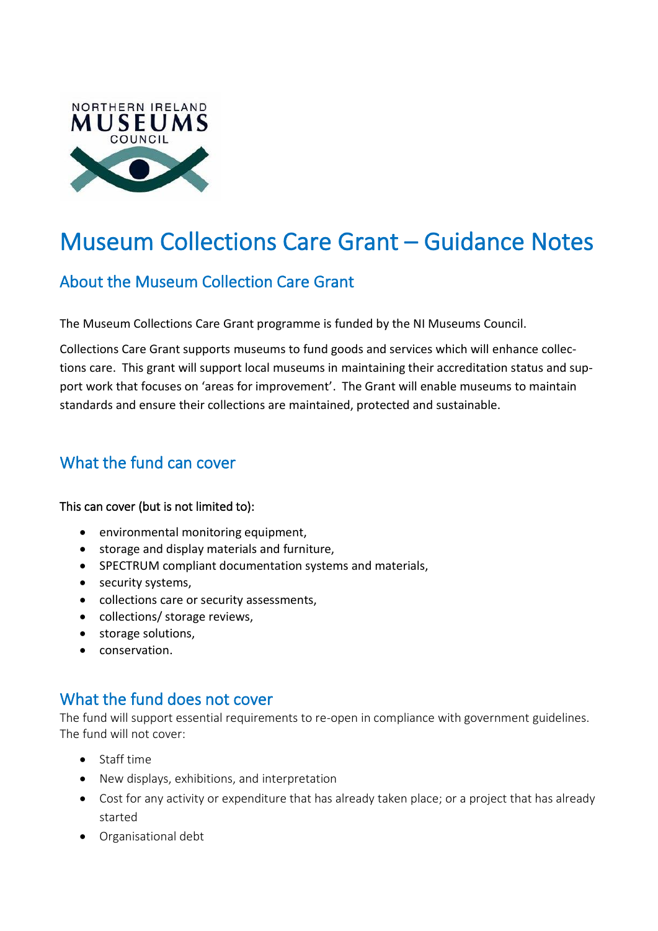

# Museum Collections Care Grant – Guidance Notes

# About the Museum Collection Care Grant

The Museum Collections Care Grant programme is funded by the NI Museums Council.

Collections Care Grant supports museums to fund goods and services which will enhance collections care. This grant will support local museums in maintaining their accreditation status and support work that focuses on 'areas for improvement'. The Grant will enable museums to maintain standards and ensure their collections are maintained, protected and sustainable.

# What the fund can cover

#### This can cover (but is not limited to):

- environmental monitoring equipment,
- storage and display materials and furniture,
- SPECTRUM compliant documentation systems and materials,
- security systems,
- collections care or security assessments,
- collections/ storage reviews,
- storage solutions,
- conservation.

## What the fund does not cover

The fund will support essential requirements to re-open in compliance with government guidelines. The fund will not cover:

- Staff time
- New displays, exhibitions, and interpretation
- Cost for any activity or expenditure that has already taken place; or a project that has already started
- Organisational debt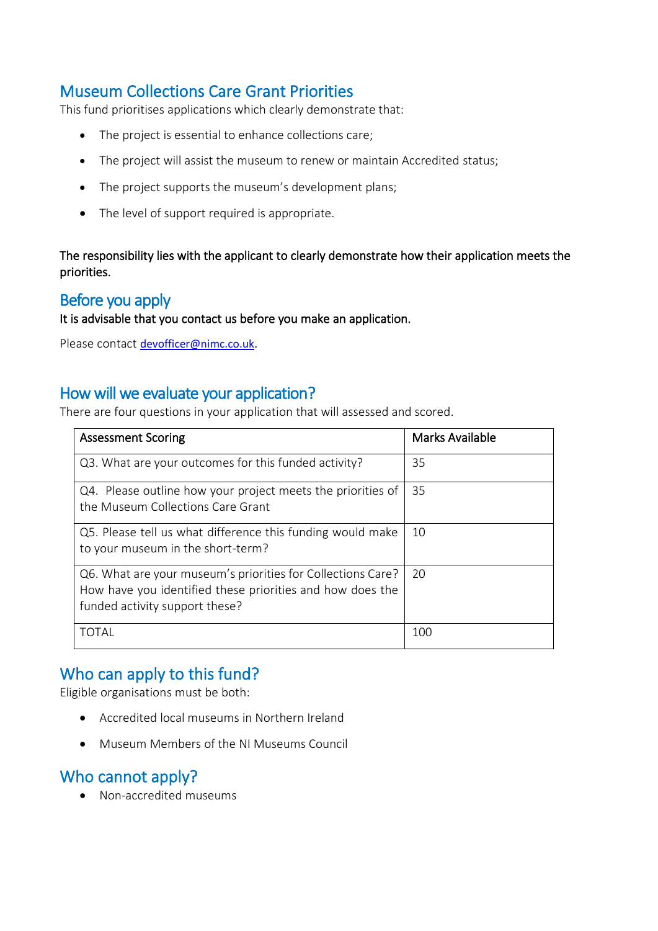# Museum Collections Care Grant Priorities

This fund prioritises applications which clearly demonstrate that:

- The project is essential to enhance collections care;
- The project will assist the museum to renew or maintain Accredited status;
- The project supports the museum's development plans;
- The level of support required is appropriate.

The responsibility lies with the applicant to clearly demonstrate how their application meets the priorities.

#### Before you apply

It is advisable that you contact us before you make an application.

Please contact [devofficer@nimc.co.uk.](mailto:devofficer@nimc.co.uk)

#### How will we evaluate your application?

There are four questions in your application that will assessed and scored.

| <b>Assessment Scoring</b>                                                                                                                                  | <b>Marks Available</b> |
|------------------------------------------------------------------------------------------------------------------------------------------------------------|------------------------|
| Q3. What are your outcomes for this funded activity?                                                                                                       | 35                     |
| Q4. Please outline how your project meets the priorities of<br>the Museum Collections Care Grant                                                           | 35                     |
| Q5. Please tell us what difference this funding would make<br>to your museum in the short-term?                                                            | 10                     |
| Q6. What are your museum's priorities for Collections Care?<br>How have you identified these priorities and how does the<br>funded activity support these? | 20                     |
| TOTAL                                                                                                                                                      | 100                    |

#### Who can apply to this fund?

Eligible organisations must be both:

- Accredited local museums in Northern Ireland
- Museum Members of the NI Museums Council

#### Who cannot apply?

• Non-accredited museums